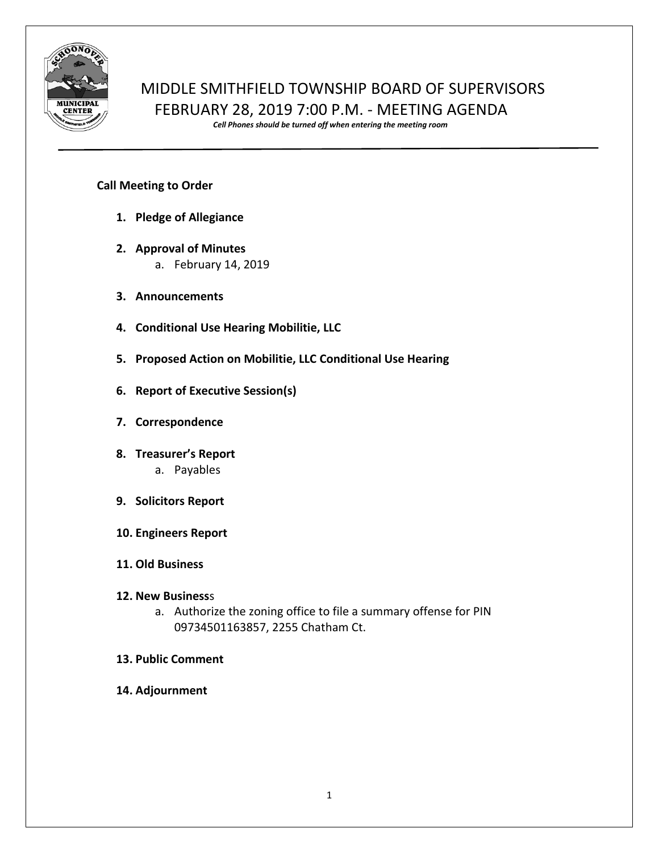

## MIDDLE SMITHFIELD TOWNSHIP BOARD OF SUPERVISORS FEBRUARY 28, 2019 7:00 P.M. - MEETING AGENDA

*Cell Phones should be turned off when entering the meeting room*

## **Call Meeting to Order**

- **1. Pledge of Allegiance**
- **2. Approval of Minutes**
	- a. February 14, 2019
- **3. Announcements**
- **4. Conditional Use Hearing Mobilitie, LLC**
- **5. Proposed Action on Mobilitie, LLC Conditional Use Hearing**
- **6. Report of Executive Session(s)**
- **7. Correspondence**
- **8. Treasurer's Report** a. Payables
- **9. Solicitors Report**
- **10. Engineers Report**
- **11. Old Business**
- **12. New Business**s
	- a. Authorize the zoning office to file a summary offense for PIN 09734501163857, 2255 Chatham Ct.
- **13. Public Comment**
- **14. Adjournment**